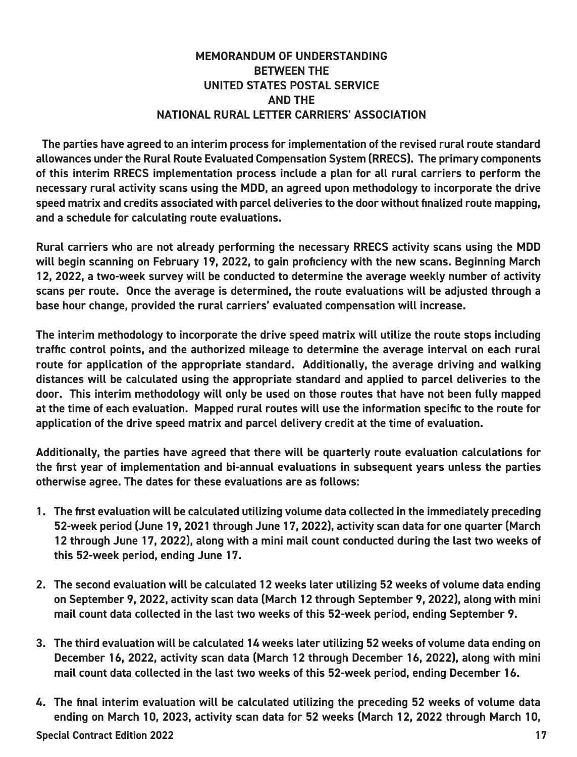## *MEMORANDUM OF UNDERSTANDING BETWEEN THE UNITED STATES POSTAL SERVICE AND THE NATIONAL RURAL LETTER CARRIERS' ASSOCIATION*

*The parties have agreed to an interim process for implementation of the revised rural route standard allowances under the Rural Route Evaluated Compensation System (RRECS). The primary components of this interim RRECS implementation process include a plan for all rural carriers to perform the necessary rural activity scans using the MDD, an agreed upon methodology to incorporate the drive speed matrix and credits associated with parcel deliveries to the door without finalized route mapping, and a schedule for calculating route evaluations.*

*Rural carriers who are not already performing the necessary RRECS activity scans using the MDD will begin scanning on February 19, 2022, to gain proficiency with the new scans. Beginning March 12, 2022, a two-week survey will be conducted to determine the average weekly number of activity scans per route. Once the average is determined, the route evaluations will be adjusted through a base hour change, provided the rural carriers' evaluated compensation will increase.*

*The interim methodology to incorporate the drive speed matrix will utilize the route stops including traffic control points, and the authorized mileage to determine the average interval on each rural*  route for application of the appropriate standard. Additionally, the average driving and walking *distances will be calculated using the appropriate standard and applied to parcel deliveries to the door. This interim methodology will only be used on those routes that have not been fully mapped at the time of each evaluation. Mapped rural routes will use the information specific to the route for application of the drive speed matrix and parcel delivery credit at the time of evaluation.*

*Additionally, the parties have agreed that there will be quarterly route evaluation calculations for the first year of implementation and bi-annual evaluations in subsequent years unless the parties otherwise agree. The dates for these evaluations are as follows:*

- *1. The first evaluation will be calculated utilizing volume data collected in the immediately preceding 52-week period (June 19, 2021 through June 17, 2022), activity scan data for one quarter (March 12 through June 17, 2022), along with a mini mail count conducted during the last two weeks of this 52-week period, ending June 17.*
- *2. The second evaluation will be calculated 12 weeks later utilizing 52 weeks of volume data ending on September 9, 2022, activity scan data (March 12 through September 9, 2022), along with mini mail count data collected in the last two weeks of this 52-week period, ending September 9.*
- *3. The third evaluation will be calculated 14 weeks later utilizing 52 weeks of volume data ending on December 16, 2022, activity scan data (March 12 through December 16, 2022), along with mini mail count data collected in the last two weeks of this 52-week period, ending December 16.*
- *Special Contract Edition 2022 17 4. The final interim evaluation will be calculated utilizing the preceding 52 weeks of volume data ending on March 10, 2023, activity scan data for 52 weeks (March 12, 2022 through March 10,*